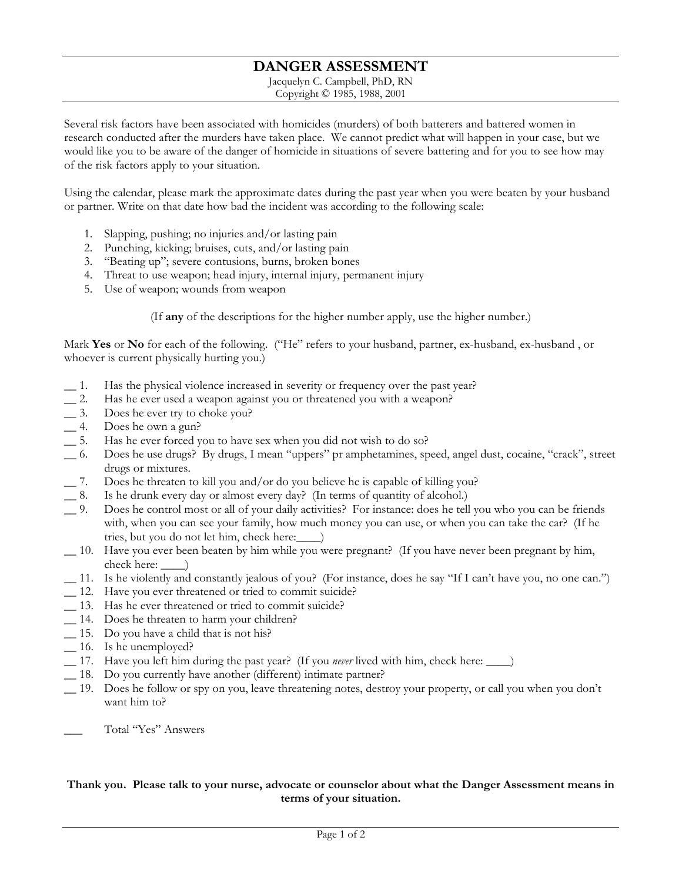## **DANGER ASSESSMENT**

Jacquelyn C. Campbell, PhD, RN Copyright © 1985, 1988, 2001

Several risk factors have been associated with homicides (murders) of both batterers and battered women in research conducted after the murders have taken place. We cannot predict what will happen in your case, but we would like you to be aware of the danger of homicide in situations of severe battering and for you to see how may of the risk factors apply to your situation.

Using the calendar, please mark the approximate dates during the past year when you were beaten by your husband or partner. Write on that date how bad the incident was according to the following scale:

- 1. Slapping, pushing; no injuries and/or lasting pain
- 2. Punching, kicking; bruises, cuts, and/or lasting pain
- 3. "Beating up"; severe contusions, burns, broken bones
- 4. Threat to use weapon; head injury, internal injury, permanent injury
- 5. Use of weapon; wounds from weapon

(If any of the descriptions for the higher number apply, use the higher number.)

Mark Yes or No for each of the following. ("He" refers to your husband, partner, ex-husband, ex-husband, or whoever is current physically hurting you.)

- $\_\_1$ . Has the physical violence increased in severity or frequency over the past year?
- $\overline{\phantom{a}}$  2. Has he ever used a weapon against you or threatened you with a weapon?
- $=$  3. Does he ever try to choke you?
- $-4.$ Does he own a gun?
- $\overline{\phantom{0}}$  5. Has he ever forced you to have sex when you did not wish to do so?
- Does he use drugs? By drugs, I mean "uppers" pr amphetamines, speed, angel dust, cocaine, "crack", street 6. drugs or mixtures.
- $-7.$ Does he threaten to kill you and/or do you believe he is capable of killing you?
- Is he drunk every day or almost every day? (In terms of quantity of alcohol.)  $\_\$  8.
- $9.$ Does he control most or all of your daily activities? For instance: does he tell you who you can be friends with, when you can see your family, how much money you can use, or when you can take the car? (If he
- \_10. Have you ever been beaten by him while you were pregnant? (If you have never been pregnant by him, check here: \_\_  $\Box$
- \_11. Is he violently and constantly jealous of you? (For instance, does he say "If I can't have you, no one can.")
- \_12. Have you ever threatened or tried to commit suicide?
- \_13. Has he ever threatened or tried to commit suicide?
- \_14. Does he threaten to harm your children?
- \_15. Do you have a child that is not his?
- $\_\$ 16. Is he unemployed?
- 17. Have you left him during the past year? (If you *never* lived with him, check here: \_\_\_\_)
- \_18. Do you currently have another (different) intimate partner?
- 19. Does he follow or spy on you, leave threatening notes, destroy your property, or call you when you don't want him to?

Total "Yes" Answers

## Thank you. Please talk to your nurse, advocate or counselor about what the Danger Assessment means in terms of your situation.